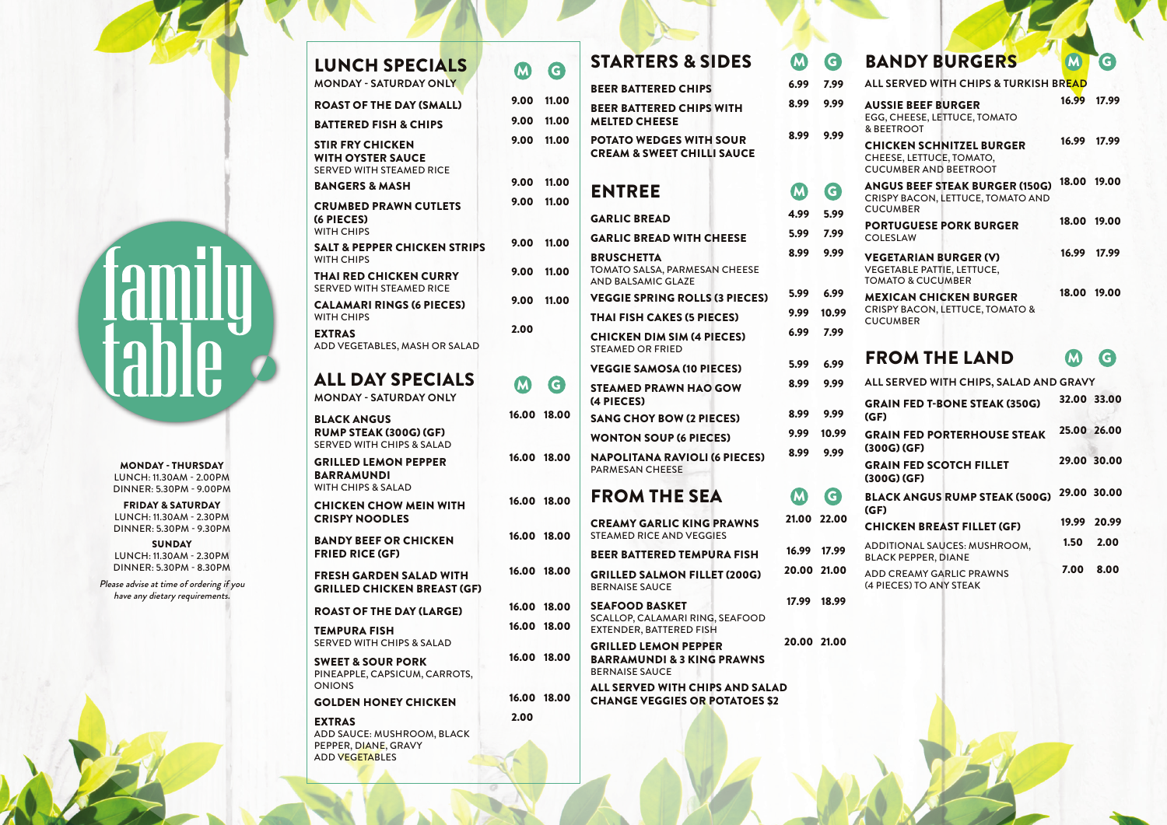| <b>LUNCH SPECIALS</b><br><b>MONDAY - SATURDAY ONLY</b>                                      | $\bf M$     | G           |
|---------------------------------------------------------------------------------------------|-------------|-------------|
| <b>ROAST OF THE DAY (SMALL)</b>                                                             | 9.00        | 11.00       |
| <b>BATTERED FISH &amp; CHIPS</b>                                                            | 9.00        | 11.00       |
| STIR FRY CHICKEN<br><b>WITH OYSTER SAUCE</b><br><b>SERVED WITH STEAMED RICE</b>             | 9.00        | 11.00       |
| <b>BANGERS &amp; MASH</b>                                                                   | 9.00        | 11.00       |
| <b>CRUMBED PRAWN CUTLETS</b><br>(6 PIECES)<br><b>WITH CHIPS</b>                             | 9.00        | 11.00       |
| SALT & PEPPER CHICKEN STRIPS<br><b>WITH CHIPS</b>                                           | 9.00        | 11.00       |
| THAI RED CHICKEN CURRY<br><b>SERVED WITH STEAMED RICE</b>                                   | 9.00        | 11.00       |
| <b>CALAMARI RINGS (6 PIECES)</b><br><b>WITH CHIPS</b>                                       | 9.00        | 11.00       |
| <b>EXTRAS</b><br>ADD VEGETABLES, MASH OR SALAD                                              | 2.00        |             |
| ALL DAY SPECIALS<br><b>MONDAY - SATURDAY ONLY</b>                                           | $\mathbf M$ | G.          |
| <b>BLACK ANGUS</b><br><b>RUMP STEAK (300G) (GF)</b><br><b>SERVED WITH CHIPS &amp; SALAD</b> | 16.00       | 18.00       |
| <b>GRILLED LEMON PEPPER</b><br><b>BARRAMUNDI</b><br>WITH CHIPS & SALAD                      |             | 16.00 18.00 |
| <b>CHICKEN CHOW MEIN WITH</b><br><b>CRISPY NOODLES</b>                                      |             | 16.00 18.00 |
| <b>BANDY BEEF OR CHICKEN</b><br><b>FRIED RICE (GF)</b>                                      |             | 16.00 18.00 |
| <b>FRESH GARDEN SALAD WITH</b><br><b>GRILLED CHICKEN BREAST (GF)</b>                        |             | 16.00 18.00 |
| <b>ROAST OF THE DAY (LARGE)</b>                                                             |             | 16.00 18.00 |
| TEMPURA FISH<br><b>SERVED WITH CHIPS &amp; SALAD</b>                                        |             | 16.00 18.00 |
| <b>SWEET &amp; SOUR PORK</b><br>PINEAPPLE, CAPSICUM, CARROTS,<br><b>ONIONS</b>              |             | 16.00 18.00 |
| <b>GOLDEN HONEY CHICKEN</b>                                                                 |             | 16.00 18.00 |
| <b>EXTRAS</b><br>ADD SAUCE: MUSHROOM, BLACK                                                 | 2.00        |             |

PEPPER, DIANE, GRAVY ADD VEGETABLES

## STARTERS & SIDES M G BANDY

## FROM THE LAND

G

| <b>BEER BATTERED CHIPS</b>                                              |                                                                                                                                                                                                                                                                                                                                                                      |                                                                                                                       |                                                                                                                              |                                                                                                                                                                                                                                                                 |
|-------------------------------------------------------------------------|----------------------------------------------------------------------------------------------------------------------------------------------------------------------------------------------------------------------------------------------------------------------------------------------------------------------------------------------------------------------|-----------------------------------------------------------------------------------------------------------------------|------------------------------------------------------------------------------------------------------------------------------|-----------------------------------------------------------------------------------------------------------------------------------------------------------------------------------------------------------------------------------------------------------------|
| <b>BEER BATTERED CHIPS WITH</b>                                         | 8.99                                                                                                                                                                                                                                                                                                                                                                 | 9.99                                                                                                                  | <b>AUSSIE BEEF BURGER</b>                                                                                                    | 16.99                                                                                                                                                                                                                                                           |
| <b>MELTED CHEESE</b>                                                    |                                                                                                                                                                                                                                                                                                                                                                      |                                                                                                                       |                                                                                                                              |                                                                                                                                                                                                                                                                 |
| <b>POTATO WEDGES WITH SOUR</b><br><b>CREAM &amp; SWEET CHILLI SAUCE</b> |                                                                                                                                                                                                                                                                                                                                                                      |                                                                                                                       | <b>CHICKEN SCHNITZEL BURGER</b><br>CHEESE, LETTUCE, TOMATO,<br><b>CUCUMBER AND BEETROOT</b>                                  | 16.99                                                                                                                                                                                                                                                           |
|                                                                         |                                                                                                                                                                                                                                                                                                                                                                      |                                                                                                                       | <b>ANGUS BEEF STEAK BURGER (150G)</b>                                                                                        | 18.00                                                                                                                                                                                                                                                           |
|                                                                         |                                                                                                                                                                                                                                                                                                                                                                      |                                                                                                                       | CRISPY BACON, LETTUCE, TOMATO AND                                                                                            |                                                                                                                                                                                                                                                                 |
| <b>GARLIC BREAD</b>                                                     | 4.99                                                                                                                                                                                                                                                                                                                                                                 | 5.99                                                                                                                  |                                                                                                                              | 18.00                                                                                                                                                                                                                                                           |
|                                                                         | 5.99                                                                                                                                                                                                                                                                                                                                                                 | 7.99                                                                                                                  | <b>COLESLAW</b>                                                                                                              |                                                                                                                                                                                                                                                                 |
| <b>BRUSCHETTA</b>                                                       | 8.99                                                                                                                                                                                                                                                                                                                                                                 | 9.99                                                                                                                  | <b>VEGETARIAN BURGER (V)</b>                                                                                                 | 16.99                                                                                                                                                                                                                                                           |
| AND BALSAMIC GLAZE                                                      |                                                                                                                                                                                                                                                                                                                                                                      |                                                                                                                       | <b>TOMATO &amp; CUCUMBER</b>                                                                                                 |                                                                                                                                                                                                                                                                 |
| <b>VEGGIE SPRING ROLLS (3 PIECES)</b>                                   | 5.99                                                                                                                                                                                                                                                                                                                                                                 | 6.99                                                                                                                  | <b>MEXICAN CHICKEN BURGER</b>                                                                                                | 18.00                                                                                                                                                                                                                                                           |
| 9.00 11.00                                                              |                                                                                                                                                                                                                                                                                                                                                                      | 10.99                                                                                                                 | <b>CRISPY BACON, LETTUCE, TOMATO &amp;</b>                                                                                   |                                                                                                                                                                                                                                                                 |
| <b>CHICKEN DIM SIM (4 PIECES)</b>                                       | 6.99                                                                                                                                                                                                                                                                                                                                                                 | 7.99                                                                                                                  |                                                                                                                              |                                                                                                                                                                                                                                                                 |
|                                                                         |                                                                                                                                                                                                                                                                                                                                                                      |                                                                                                                       | <b>FROM THE LAND</b>                                                                                                         | <b>M</b>                                                                                                                                                                                                                                                        |
|                                                                         |                                                                                                                                                                                                                                                                                                                                                                      |                                                                                                                       |                                                                                                                              |                                                                                                                                                                                                                                                                 |
| (4 PIECES)                                                              |                                                                                                                                                                                                                                                                                                                                                                      |                                                                                                                       | <b>GRAIN FED T-BONE STEAK (350G)</b>                                                                                         | 32.00                                                                                                                                                                                                                                                           |
| <b>SANG CHOY BOW (2 PIECES)</b>                                         |                                                                                                                                                                                                                                                                                                                                                                      |                                                                                                                       | (GF)                                                                                                                         |                                                                                                                                                                                                                                                                 |
| <b>WONTON SOUP (6 PIECES)</b>                                           | 9.99                                                                                                                                                                                                                                                                                                                                                                 | 10.99                                                                                                                 | <b>GRAIN FED PORTERHOUSE STEAK</b>                                                                                           | 25.00                                                                                                                                                                                                                                                           |
| <b>NAPOLITANA RAVIOLI (6 PIECES)</b><br><b>PARMESAN CHEESE</b>          |                                                                                                                                                                                                                                                                                                                                                                      |                                                                                                                       | <b>GRAIN FED SCOTCH FILLET</b><br>$(300G)$ $(GF)$                                                                            | 29.00                                                                                                                                                                                                                                                           |
| <b>FROM THE SEA</b>                                                     | (M                                                                                                                                                                                                                                                                                                                                                                   | G                                                                                                                     | <b>BLACK ANGUS RUMP STEAK (500G)</b>                                                                                         | 29.00                                                                                                                                                                                                                                                           |
|                                                                         |                                                                                                                                                                                                                                                                                                                                                                      |                                                                                                                       |                                                                                                                              |                                                                                                                                                                                                                                                                 |
| <b>STEAMED RICE AND VEGGIES</b>                                         |                                                                                                                                                                                                                                                                                                                                                                      |                                                                                                                       |                                                                                                                              | 19.99                                                                                                                                                                                                                                                           |
| <b>BEER BATTERED TEMPURA FISH</b>                                       |                                                                                                                                                                                                                                                                                                                                                                      |                                                                                                                       | ADDITIONAL SAUCES: MUSHROOM,<br><b>BLACK PEPPER, DIANE</b>                                                                   | 1.50                                                                                                                                                                                                                                                            |
| <b>GRILLED SALMON FILLET (200G)</b><br><b>BERNAISE SAUCE</b>            |                                                                                                                                                                                                                                                                                                                                                                      |                                                                                                                       | ADD CREAMY GARLIC PRAWNS<br>(4 PIECES) TO ANY STEAK                                                                          | 7.00                                                                                                                                                                                                                                                            |
| <b>SEAFOOD BASKET</b>                                                   |                                                                                                                                                                                                                                                                                                                                                                      |                                                                                                                       |                                                                                                                              |                                                                                                                                                                                                                                                                 |
|                                                                         |                                                                                                                                                                                                                                                                                                                                                                      |                                                                                                                       |                                                                                                                              |                                                                                                                                                                                                                                                                 |
|                                                                         |                                                                                                                                                                                                                                                                                                                                                                      |                                                                                                                       |                                                                                                                              |                                                                                                                                                                                                                                                                 |
| <b>BARRAMUNDI &amp; 3 KING PRAWNS</b><br><b>BERNAISE SAUCE</b>          |                                                                                                                                                                                                                                                                                                                                                                      |                                                                                                                       |                                                                                                                              |                                                                                                                                                                                                                                                                 |
|                                                                         |                                                                                                                                                                                                                                                                                                                                                                      |                                                                                                                       |                                                                                                                              |                                                                                                                                                                                                                                                                 |
|                                                                         | <b>ENTREE</b><br><b>GARLIC BREAD WITH CHEESE</b><br><b>TOMATO SALSA, PARMESAN CHEESE</b><br><b>THAI FISH CAKES (5 PIECES)</b><br><b>STEAMED OR FRIED</b><br><b>VEGGIE SAMOSA (10 PIECES)</b><br><b>STEAMED PRAWN HAO GOW</b><br><b>CREAMY GARLIC KING PRAWNS</b><br>SCALLOP, CALAMARI RING, SEAFOOD<br><b>EXTENDER, BATTERED FISH</b><br><b>GRILLED LEMON PEPPER</b> | <b>M</b><br>9.99<br>5.99<br>8.99<br>8.99<br>8.99<br>ALL SERVED WITH CHIPS AND SALAD<br>CUANCE VECCUES ON BOTATOFS \$3 | 9.99<br>8.99<br>G<br>6.99<br>9.99<br>9.99<br>9.99<br>21.00 22.00<br>16.99 17.99<br>20.00 21.00<br>17.99 18.99<br>20.00 21.00 | EGG, CHEESE, LETTUCE, TOMATO<br>& BEETROOT<br><b>CUCUMBER</b><br><b>PORTUGUESE PORK BURGER</b><br><b>VEGETABLE PATTIE, LETTUCE,</b><br><b>CUCUMBER</b><br>ALL SERVED WITH CHIPS, SALAD AND GRAV<br>$(300G)$ $(GF)$<br>(GF)<br><b>CHICKEN BREAST FILLET (GF)</b> |

| G    | <b>BANDY BURGERS</b>                                                                          | M                            | G                                              |
|------|-----------------------------------------------------------------------------------------------|------------------------------|------------------------------------------------|
| 7.99 |                                                                                               |                              |                                                |
| 9.99 | <b>AUSSIE BEEF BURGER</b><br>EGG, CHEESE, LETTUCE, TOMATO<br>& BEETROOT                       | 16.99                        | 17.99                                          |
|      | <b>CHICKEN SCHNITZEL BURGER</b><br>CHEESE, LETTUCE, TOMATO,<br><b>CUCUMBER AND BEETROOT</b>   | 16.99                        | 17.99                                          |
| G    | <b>ANGUS BEEF STEAK BURGER (150G)</b><br>CRISPY BACON, LETTUCE, TOMATO AND<br><b>CUCUMBER</b> |                              | 19.00                                          |
| 7.99 | <b>PORTUGUESE PORK BURGER</b><br><b>COLESLAW</b>                                              | 18.00                        | 19.00                                          |
| 9.99 | <b>VEGETARIAN BURGER (V)</b><br><b>VEGETABLE PATTIE, LETTUCE,</b>                             | 16.99                        | 17.99                                          |
| 6.99 | <b>MEXICAN CHICKEN BURGER</b>                                                                 | 18.00                        | 19.00                                          |
|      | 9.99<br>5.99                                                                                  | <b>TOMATO &amp; CUCUMBER</b> | ALL SERVED WITH CHIPS & TURKISH BREAD<br>18.00 |

### **ALL SERVED WITH CHIPS, SALAD AND GRAVY** GRAIN FED T-BONE STEAK (350G) 32.00 33.00 GRAIN FED PORTERHOUSE STEAK (300G) (GF) 25.00 26.00 GRAIN FED SCOTCH FILLET (300G) (GF) 29.00 30.00 BLACK ANGUS RUMP STEAK (500G) 29.00 30.00 CHICKEN BREAST FILLET (GF) 19.99 20.99 ADDITIONAL SAUCES: MUSHROOM, BLACK PEPPER, DIANE 1.50 2.00 ADD CREAMY GARLIC PRAWNS 7.00 8.00

**SUNDAY** LUNCH: 11.30AM - 2.30PM DINNER: 5.30PM - 8.30PM

CHANGE VEGGIES OR POTATOES \$2

## family<br>fahlo

MONDAY - THURSDAY LUNCH: 11.30AM - 2.00PM DINNER: 5.30PM - 9.00PM

FRIDAY & SATURDAY LUNCH: 11.30AM - 2.30PM DINNER: 5.30PM - 9.30PM

Please advise at time of ordering if you have any dietary requirements.